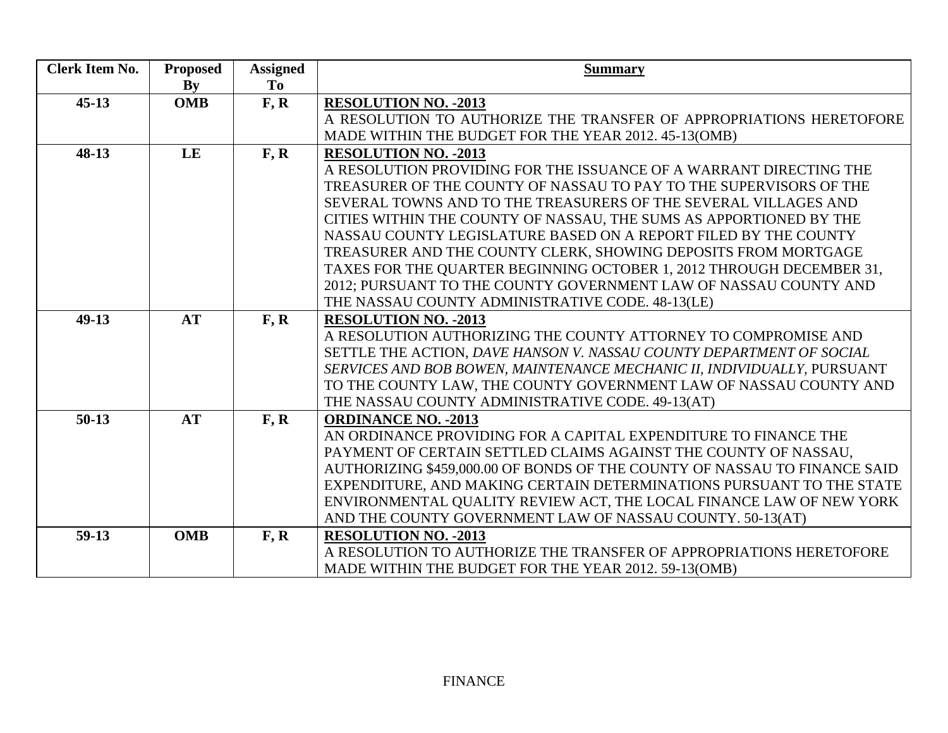| <b>Clerk Item No.</b> | <b>Proposed</b> | <b>Assigned</b>                     | <b>Summary</b>                                                                                                                              |
|-----------------------|-----------------|-------------------------------------|---------------------------------------------------------------------------------------------------------------------------------------------|
|                       | By              | To                                  |                                                                                                                                             |
| $45 - 13$             | <b>OMB</b>      | F, R                                | <b>RESOLUTION NO. - 2013</b>                                                                                                                |
|                       |                 |                                     | A RESOLUTION TO AUTHORIZE THE TRANSFER OF APPROPRIATIONS HERETOFORE                                                                         |
|                       |                 |                                     | MADE WITHIN THE BUDGET FOR THE YEAR 2012. 45-13(OMB)                                                                                        |
| $48-13$               | LE              | $\overline{\mathbf{F}, \mathbf{R}}$ | <b>RESOLUTION NO. - 2013</b>                                                                                                                |
|                       |                 |                                     | A RESOLUTION PROVIDING FOR THE ISSUANCE OF A WARRANT DIRECTING THE                                                                          |
|                       |                 |                                     | TREASURER OF THE COUNTY OF NASSAU TO PAY TO THE SUPERVISORS OF THE                                                                          |
|                       |                 |                                     | SEVERAL TOWNS AND TO THE TREASURERS OF THE SEVERAL VILLAGES AND                                                                             |
|                       |                 |                                     | CITIES WITHIN THE COUNTY OF NASSAU, THE SUMS AS APPORTIONED BY THE                                                                          |
|                       |                 |                                     | NASSAU COUNTY LEGISLATURE BASED ON A REPORT FILED BY THE COUNTY                                                                             |
|                       |                 |                                     | TREASURER AND THE COUNTY CLERK, SHOWING DEPOSITS FROM MORTGAGE                                                                              |
|                       |                 |                                     | TAXES FOR THE QUARTER BEGINNING OCTOBER 1, 2012 THROUGH DECEMBER 31,                                                                        |
|                       |                 |                                     | 2012; PURSUANT TO THE COUNTY GOVERNMENT LAW OF NASSAU COUNTY AND                                                                            |
|                       |                 |                                     | THE NASSAU COUNTY ADMINISTRATIVE CODE. 48-13(LE)                                                                                            |
| $49-13$               | <b>AT</b>       | F, R                                | <b>RESOLUTION NO. - 2013</b>                                                                                                                |
|                       |                 |                                     | A RESOLUTION AUTHORIZING THE COUNTY ATTORNEY TO COMPROMISE AND                                                                              |
|                       |                 |                                     | SETTLE THE ACTION, DAVE HANSON V. NASSAU COUNTY DEPARTMENT OF SOCIAL                                                                        |
|                       |                 |                                     | SERVICES AND BOB BOWEN, MAINTENANCE MECHANIC II, INDIVIDUALLY, PURSUANT                                                                     |
|                       |                 |                                     | TO THE COUNTY LAW, THE COUNTY GOVERNMENT LAW OF NASSAU COUNTY AND                                                                           |
|                       |                 |                                     | THE NASSAU COUNTY ADMINISTRATIVE CODE. 49-13(AT)                                                                                            |
| $50-13$               | <b>AT</b>       | F, R                                | <b>ORDINANCE NO. - 2013</b>                                                                                                                 |
|                       |                 |                                     | AN ORDINANCE PROVIDING FOR A CAPITAL EXPENDITURE TO FINANCE THE                                                                             |
|                       |                 |                                     | PAYMENT OF CERTAIN SETTLED CLAIMS AGAINST THE COUNTY OF NASSAU.                                                                             |
|                       |                 |                                     | AUTHORIZING \$459,000.00 OF BONDS OF THE COUNTY OF NASSAU TO FINANCE SAID                                                                   |
|                       |                 |                                     | EXPENDITURE, AND MAKING CERTAIN DETERMINATIONS PURSUANT TO THE STATE<br>ENVIRONMENTAL QUALITY REVIEW ACT, THE LOCAL FINANCE LAW OF NEW YORK |
|                       |                 |                                     | AND THE COUNTY GOVERNMENT LAW OF NASSAU COUNTY. 50-13(AT)                                                                                   |
| $59-13$               | <b>OMB</b>      |                                     | <b>RESOLUTION NO. - 2013</b>                                                                                                                |
|                       |                 | F, R                                | A RESOLUTION TO AUTHORIZE THE TRANSFER OF APPROPRIATIONS HERETOFORE                                                                         |
|                       |                 |                                     | MADE WITHIN THE BUDGET FOR THE YEAR 2012. 59-13(OMB)                                                                                        |
|                       |                 |                                     |                                                                                                                                             |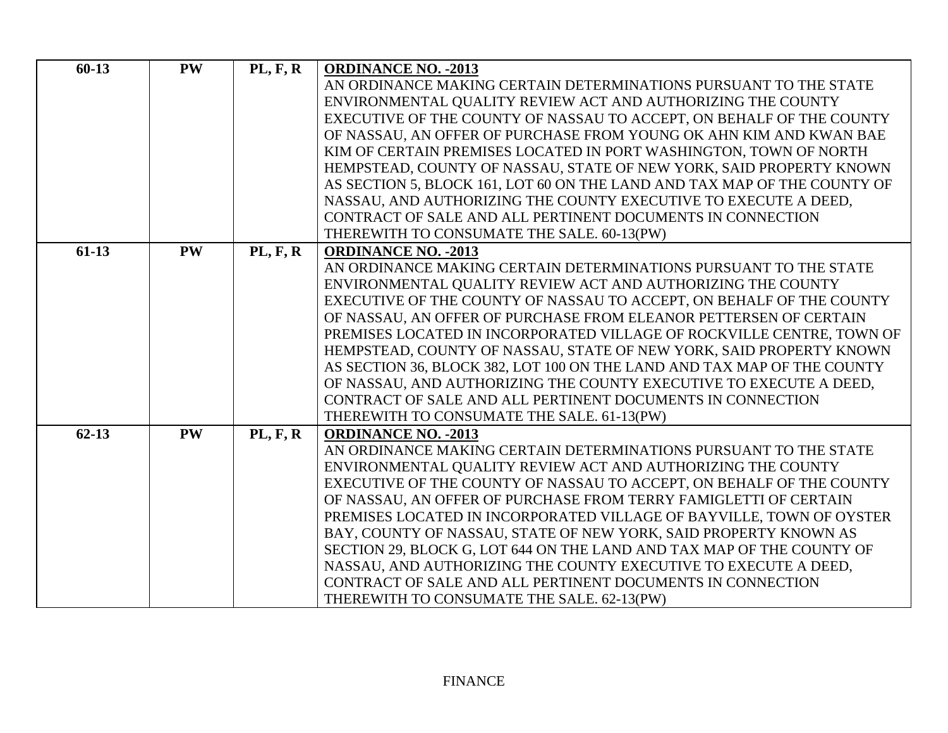| $60-13$   | <b>PW</b> | PL, F, R        | <b>ORDINANCE NO. - 2013</b>                                              |
|-----------|-----------|-----------------|--------------------------------------------------------------------------|
|           |           |                 | AN ORDINANCE MAKING CERTAIN DETERMINATIONS PURSUANT TO THE STATE         |
|           |           |                 | ENVIRONMENTAL QUALITY REVIEW ACT AND AUTHORIZING THE COUNTY              |
|           |           |                 | EXECUTIVE OF THE COUNTY OF NASSAU TO ACCEPT, ON BEHALF OF THE COUNTY     |
|           |           |                 | OF NASSAU, AN OFFER OF PURCHASE FROM YOUNG OK AHN KIM AND KWAN BAE       |
|           |           |                 | KIM OF CERTAIN PREMISES LOCATED IN PORT WASHINGTON, TOWN OF NORTH        |
|           |           |                 | HEMPSTEAD, COUNTY OF NASSAU, STATE OF NEW YORK, SAID PROPERTY KNOWN      |
|           |           |                 | AS SECTION 5, BLOCK 161, LOT 60 ON THE LAND AND TAX MAP OF THE COUNTY OF |
|           |           |                 | NASSAU, AND AUTHORIZING THE COUNTY EXECUTIVE TO EXECUTE A DEED.          |
|           |           |                 | CONTRACT OF SALE AND ALL PERTINENT DOCUMENTS IN CONNECTION               |
|           |           |                 | THEREWITH TO CONSUMATE THE SALE. 60-13(PW)                               |
| $61-13$   | <b>PW</b> | <b>PL, F, R</b> | <b>ORDINANCE NO. - 2013</b>                                              |
|           |           |                 | AN ORDINANCE MAKING CERTAIN DETERMINATIONS PURSUANT TO THE STATE         |
|           |           |                 | ENVIRONMENTAL QUALITY REVIEW ACT AND AUTHORIZING THE COUNTY              |
|           |           |                 | EXECUTIVE OF THE COUNTY OF NASSAU TO ACCEPT, ON BEHALF OF THE COUNTY     |
|           |           |                 | OF NASSAU, AN OFFER OF PURCHASE FROM ELEANOR PETTERSEN OF CERTAIN        |
|           |           |                 | PREMISES LOCATED IN INCORPORATED VILLAGE OF ROCKVILLE CENTRE, TOWN OF    |
|           |           |                 | HEMPSTEAD, COUNTY OF NASSAU, STATE OF NEW YORK, SAID PROPERTY KNOWN      |
|           |           |                 | AS SECTION 36, BLOCK 382, LOT 100 ON THE LAND AND TAX MAP OF THE COUNTY  |
|           |           |                 | OF NASSAU, AND AUTHORIZING THE COUNTY EXECUTIVE TO EXECUTE A DEED,       |
|           |           |                 | CONTRACT OF SALE AND ALL PERTINENT DOCUMENTS IN CONNECTION               |
|           |           |                 | THEREWITH TO CONSUMATE THE SALE. 61-13(PW)                               |
| $62 - 13$ | <b>PW</b> | <b>PL, F, R</b> | <b>ORDINANCE NO. - 2013</b>                                              |
|           |           |                 | AN ORDINANCE MAKING CERTAIN DETERMINATIONS PURSUANT TO THE STATE         |
|           |           |                 | ENVIRONMENTAL QUALITY REVIEW ACT AND AUTHORIZING THE COUNTY              |
|           |           |                 | EXECUTIVE OF THE COUNTY OF NASSAU TO ACCEPT, ON BEHALF OF THE COUNTY     |
|           |           |                 | OF NASSAU, AN OFFER OF PURCHASE FROM TERRY FAMIGLETTI OF CERTAIN         |
|           |           |                 | PREMISES LOCATED IN INCORPORATED VILLAGE OF BAYVILLE, TOWN OF OYSTER     |
|           |           |                 | BAY, COUNTY OF NASSAU, STATE OF NEW YORK, SAID PROPERTY KNOWN AS         |
|           |           |                 | SECTION 29, BLOCK G, LOT 644 ON THE LAND AND TAX MAP OF THE COUNTY OF    |
|           |           |                 | NASSAU, AND AUTHORIZING THE COUNTY EXECUTIVE TO EXECUTE A DEED,          |
|           |           |                 | CONTRACT OF SALE AND ALL PERTINENT DOCUMENTS IN CONNECTION               |
|           |           |                 | THEREWITH TO CONSUMATE THE SALE. 62-13(PW)                               |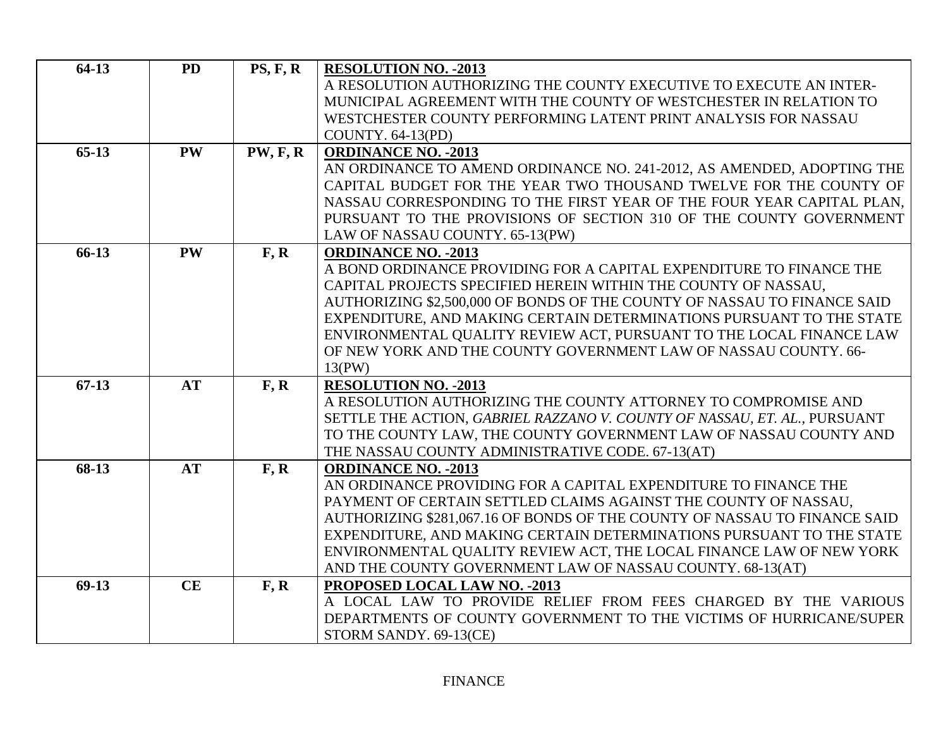| $64-13$ | <b>PD</b> | PS, F, R        | <b>RESOLUTION NO. - 2013</b>                                                                          |
|---------|-----------|-----------------|-------------------------------------------------------------------------------------------------------|
|         |           |                 | A RESOLUTION AUTHORIZING THE COUNTY EXECUTIVE TO EXECUTE AN INTER-                                    |
|         |           |                 | MUNICIPAL AGREEMENT WITH THE COUNTY OF WESTCHESTER IN RELATION TO                                     |
|         |           |                 | WESTCHESTER COUNTY PERFORMING LATENT PRINT ANALYSIS FOR NASSAU                                        |
|         |           |                 | <b>COUNTY. 64-13(PD)</b>                                                                              |
| $65-13$ | <b>PW</b> | <b>PW, F, R</b> | <b>ORDINANCE NO. - 2013</b>                                                                           |
|         |           |                 | AN ORDINANCE TO AMEND ORDINANCE NO. 241-2012, AS AMENDED, ADOPTING THE                                |
|         |           |                 | CAPITAL BUDGET FOR THE YEAR TWO THOUSAND TWELVE FOR THE COUNTY OF                                     |
|         |           |                 | NASSAU CORRESPONDING TO THE FIRST YEAR OF THE FOUR YEAR CAPITAL PLAN,                                 |
|         |           |                 | PURSUANT TO THE PROVISIONS OF SECTION 310 OF THE COUNTY GOVERNMENT<br>LAW OF NASSAU COUNTY. 65-13(PW) |
| 66-13   | <b>PW</b> | F, R            | <b>ORDINANCE NO. - 2013</b>                                                                           |
|         |           |                 | A BOND ORDINANCE PROVIDING FOR A CAPITAL EXPENDITURE TO FINANCE THE                                   |
|         |           |                 | CAPITAL PROJECTS SPECIFIED HEREIN WITHIN THE COUNTY OF NASSAU,                                        |
|         |           |                 | AUTHORIZING \$2,500,000 OF BONDS OF THE COUNTY OF NASSAU TO FINANCE SAID                              |
|         |           |                 | EXPENDITURE, AND MAKING CERTAIN DETERMINATIONS PURSUANT TO THE STATE                                  |
|         |           |                 | ENVIRONMENTAL QUALITY REVIEW ACT, PURSUANT TO THE LOCAL FINANCE LAW                                   |
|         |           |                 | OF NEW YORK AND THE COUNTY GOVERNMENT LAW OF NASSAU COUNTY. 66-                                       |
|         |           |                 | 13(PW)                                                                                                |
| $67-13$ | <b>AT</b> | F, R            | <b>RESOLUTION NO. - 2013</b>                                                                          |
|         |           |                 | A RESOLUTION AUTHORIZING THE COUNTY ATTORNEY TO COMPROMISE AND                                        |
|         |           |                 | SETTLE THE ACTION, GABRIEL RAZZANO V. COUNTY OF NASSAU, ET. AL., PURSUANT                             |
|         |           |                 | TO THE COUNTY LAW, THE COUNTY GOVERNMENT LAW OF NASSAU COUNTY AND                                     |
|         |           |                 | THE NASSAU COUNTY ADMINISTRATIVE CODE. 67-13(AT)                                                      |
| 68-13   | <b>AT</b> | F, R            | <b>ORDINANCE NO. - 2013</b><br>AN ORDINANCE PROVIDING FOR A CAPITAL EXPENDITURE TO FINANCE THE        |
|         |           |                 | PAYMENT OF CERTAIN SETTLED CLAIMS AGAINST THE COUNTY OF NASSAU,                                       |
|         |           |                 | AUTHORIZING \$281,067.16 OF BONDS OF THE COUNTY OF NASSAU TO FINANCE SAID                             |
|         |           |                 | EXPENDITURE, AND MAKING CERTAIN DETERMINATIONS PURSUANT TO THE STATE                                  |
|         |           |                 | ENVIRONMENTAL QUALITY REVIEW ACT, THE LOCAL FINANCE LAW OF NEW YORK                                   |
|         |           |                 | AND THE COUNTY GOVERNMENT LAW OF NASSAU COUNTY. 68-13(AT)                                             |
| $69-13$ | CE        | F, R            | PROPOSED LOCAL LAW NO. - 2013                                                                         |
|         |           |                 | A LOCAL LAW TO PROVIDE RELIEF FROM FEES CHARGED BY THE VARIOUS                                        |
|         |           |                 | DEPARTMENTS OF COUNTY GOVERNMENT TO THE VICTIMS OF HURRICANE/SUPER                                    |
|         |           |                 | STORM SANDY. 69-13(CE)                                                                                |